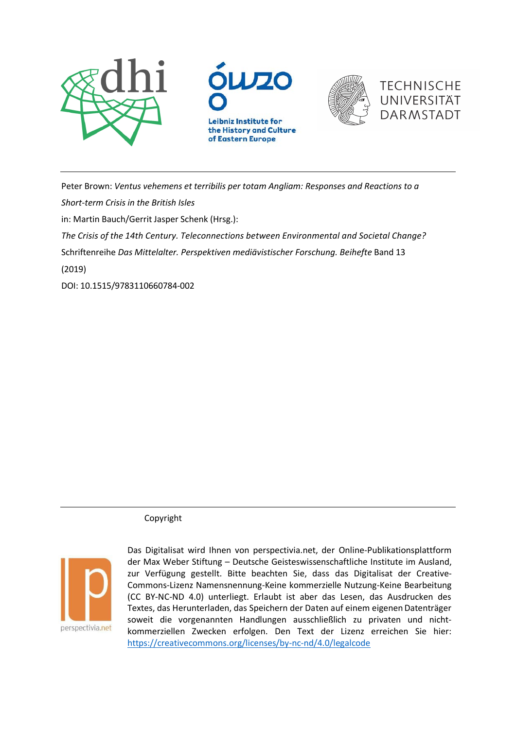



Peter Brown: *Ventus vehemens et terribilis per totam Angliam: Responses and Reactions to a*

*Short-term Crisis in the British Isles*

in: Martin Bauch/Gerrit Jasper Schenk (Hrsg.):

*The Crisis of the 14th Century. Teleconnections between Environmental and Societal Change?* 

Schriftenreihe *Das Mittelalter. Perspektiven mediävistischer Forschung. Beihefte* Band 13

(2019)

DOI: 10.1515/9783110660784-002

## Copyright



Das Digitalisat wird Ihnen von perspectivia.net, der Online-Publikationsplattform der Max Weber Stiftung – Deutsche Geisteswissenschaftliche Institute im Ausland, zur Verfügung gestellt. Bitte beachten Sie, dass das Digitalisat der Creative-Commons-Lizenz Namensnennung-Keine kommerzielle Nutzung-Keine Bearbeitung (CC BY-NC-ND 4.0) unterliegt. Erlaubt ist aber das Lesen, das Ausdrucken des Textes, das Herunterladen, das Speichern der Daten auf einem eigenen Datenträger soweit die vorgenannten Handlungen ausschließlich zu privaten und nichtkommerziellen Zwecken erfolgen. Den Text der Lizenz erreichen Sie hier: <https://creativecommons.org/licenses/by-nc-nd/4.0/legalcode>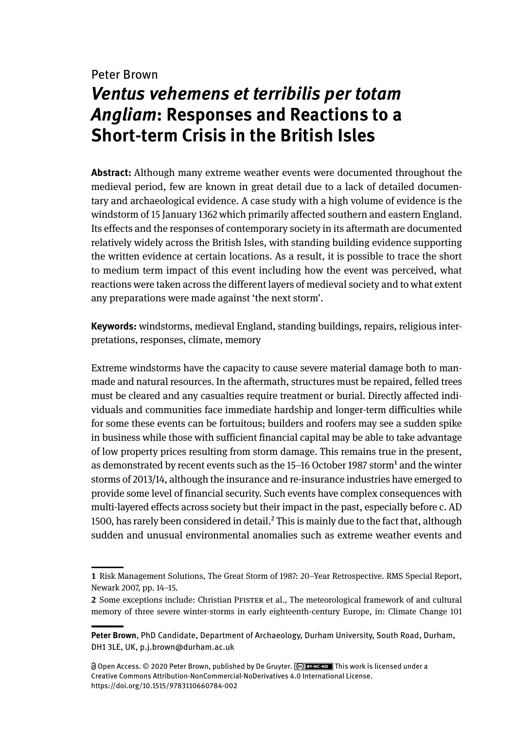## Peter Brown *Ventus vehemens et terribilis per totam Angliam***: Responses and Reactions to a Short-term Crisis in the British Isles**

**Abstract:** Although many extreme weather events were documented throughout the medieval period, few are known in great detail due to a lack of detailed documentary and archaeological evidence. A case study with a high volume of evidence is the windstorm of 15 January 1362 which primarily affected southern and eastern England. Its effects and the responses of contemporary society in its aftermath are documented relatively widely across the British Isles, with standing building evidence supporting the written evidence at certain locations. As a result, it is possible to trace the short to medium term impact of this event including how the event was perceived, what reactions were taken across the different layers of medieval society and to what extent any preparations were made against 'the next storm'.

**Keywords:** windstorms, medieval England, standing buildings, repairs, religious interpretations, responses, climate, memory

Extreme windstorms have the capacity to cause severe material damage both to manmade and natural resources. In the aftermath, structures must be repaired, felled trees must be cleared and any casualties require treatment or burial. Directly affected individuals and communities face immediate hardship and longer-term difficulties while for some these events can be fortuitous; builders and roofers may see a sudden spike in business while those with sufficient financial capital may be able to take advantage of low property prices resulting from storm damage. This remains true in the present, as demonstrated by recent events such as the 15–16 October 1987 storm<sup>1</sup> and the winter storms of 2013/14, although the insurance and re-insurance industries have emerged to provide some level of financial security. Such events have complex consequences with multi-layered effects across society but their impact in the past, especially before c. AD 1500, has rarely been considered in detail.<sup>2</sup> This is mainly due to the fact that, although sudden and unusual environmental anomalies such as extreme weather events and

**<sup>1</sup>** Risk Management Solutions, The Great Storm of 1987: 20–Year Retrospective. RMS Special Report, Newark 2007, pp. 14–15.

**<sup>2</sup>** Some exceptions include: Christian PFISTER et al., The meteorological framework of and cultural memory of three severe winter-storms in early eighteenth-century Europe, in: Climate Change 101

**Peter Brown**, PhD Candidate, Department of Archaeology, Durham University, South Road, Durham, DH1 3LE, UK, p.j.brown@durham.ac.uk

d Open Access. © 2020 Peter Brown, published by De Gruyter. <sup>[@]</sup> BY NOT This work is licensed under a Creative Commons Attribution-NonCommercial-NoDerivatives 4.0 International License. <https://doi.org/10.1515/9783110660784-002>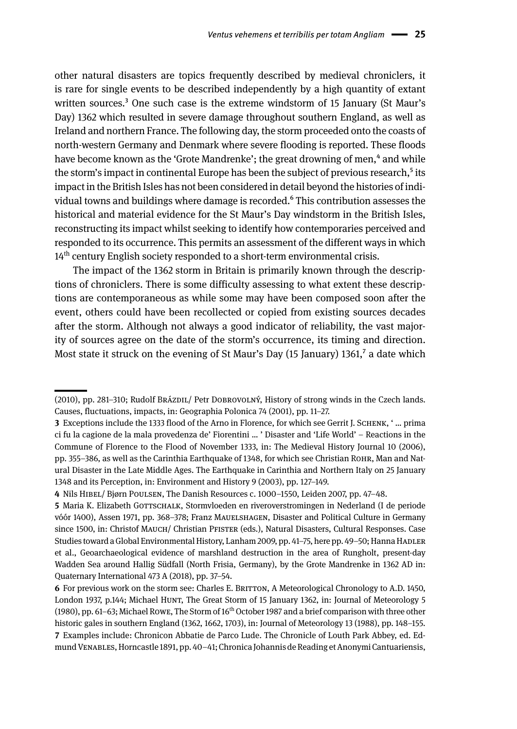other natural disasters are topics frequently described by medieval chroniclers, it is rare for single events to be described independently by a high quantity of extant written sources.<sup>3</sup> One such case is the extreme windstorm of 15 January (St Maur's Day) 1362 which resulted in severe damage throughout southern England, as well as Ireland and northern France. The following day, the storm proceeded onto the coasts of north-western Germany and Denmark where severe flooding is reported. These floods have become known as the 'Grote Mandrenke'; the great drowning of men,<sup>4</sup> and while the storm's impact in continental Europe has been the subject of previous research,<sup>5</sup> its impact in the British Isles has not been considered in detail beyond the histories of individual towns and buildings where damage is recorded.6 This contribution assesses the historical and material evidence for the St Maur's Day windstorm in the British Isles, reconstructing its impact whilst seeking to identify how contemporaries perceived and responded to its occurrence. This permits an assessment of the different ways in which  $14<sup>th</sup>$  century English society responded to a short-term environmental crisis.

The impact of the 1362 storm in Britain is primarily known through the descriptions of chroniclers. There is some difficulty assessing to what extent these descriptions are contemporaneous as while some may have been composed soon after the event, others could have been recollected or copied from existing sources decades after the storm. Although not always a good indicator of reliability, the vast majority of sources agree on the date of the storm's occurrence, its timing and direction. Most state it struck on the evening of St Maur's Day (15 January) 1361, $^7$  a date which

<sup>(2010),</sup> pp. 281-310; Rudolf BRÁZDIL/ Petr DOBROVOLNÝ, History of strong winds in the Czech lands. Causes, fluctuations, impacts, in: Geographia Polonica 74 (2001), pp. 11–27.

**<sup>3</sup>** Exceptions include the 1333 flood of the Arno in Florence, for which see Gerrit J. SCHENK, ' ... prima ci fu la cagione de la mala provedenza de' Fiorentini … ' Disaster and 'Life World' – Reactions in the Commune of Florence to the Flood of November 1333, in: The Medieval History Journal 10 (2006), pp. 355–386, as well as the Carinthia Earthquake of 1348, for which see Christian ROHR, Man and Natural Disaster in the Late Middle Ages. The Earthquake in Carinthia and Northern Italy on 25 January 1348 and its Perception, in: Environment and History 9 (2003), pp. 127–149.

**<sup>4</sup>** Nils Hibel/ Bjørn Poulsen, The Danish Resources c. 1000–1550, Leiden 2007, pp. 47–48.

**<sup>5</sup>** Maria K. Elizabeth Gortschalk, Stormvloeden en riveroverstromingen in Nederland (I de periode vóór 1400), Assen 1971, pp. 368–378; Franz MAUELSHAGEN, Disaster and Political Culture in Germany since 1500, in: Christof MAUCH/ Christian PFISTER (eds.), Natural Disasters, Cultural Responses. Case Studies toward a Global Environmental History, Lanham 2009, pp. 41-75, here pp. 49-50; Hanna HADLER et al., Geoarchaeological evidence of marshland destruction in the area of Rungholt, present-day Wadden Sea around Hallig Südfall (North Frisia, Germany), by the Grote Mandrenke in 1362 AD in: Quaternary International 473 A (2018), pp. 37–54.

**<sup>6</sup>** For previous work on the storm see: Charles E. BRITTON, A Meteorological Chronology to A.D. 1450, London 1937, p.144; Michael Hun $T$ , The Great Storm of 15 January 1362, in: Journal of Meteorology 5 (1980), pp. 61–63; Michael Rowe, The Storm of 16<sup>th</sup> October 1987 and a brief comparison with three other historic gales in southern England (1362, 1662, 1703), in: Journal of Meteorology 13 (1988), pp. 148-155. **7** Examples include: Chronicon Abbatie de Parco Lude. The Chronicle of Louth Park Abbey, ed. Edmund Venables, Horncastle 1891, pp. 40–41; Chronica Johannis de Reading et Anonymi Cantuariensis,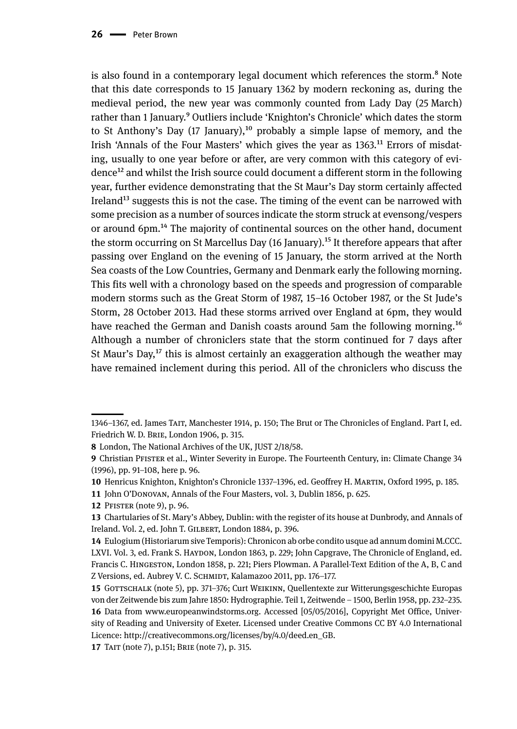is also found in a contemporary legal document which references the storm.<sup>8</sup> Note that this date corresponds to 15 January 1362 by modern reckoning as, during the medieval period, the new year was commonly counted from Lady Day (25 March) rather than 1 January.<sup>9</sup> Outliers include 'Knighton's Chronicle' which dates the storm to St Anthony's Day (17 January),<sup>10</sup> probably a simple lapse of memory, and the Irish 'Annals of the Four Masters' which gives the year as 1363.<sup>11</sup> Errors of misdating, usually to one year before or after, are very common with this category of evidence<sup>12</sup> and whilst the Irish source could document a different storm in the following year, further evidence demonstrating that the St Maur's Day storm certainly affected Ireland<sup>13</sup> suggests this is not the case. The timing of the event can be narrowed with some precision as a number of sources indicate the storm struck at evensong/vespers or around 6pm.14 The majority of continental sources on the other hand, document the storm occurring on St Marcellus Day  $(16 \text{ January})$ .<sup>15</sup> It therefore appears that after passing over England on the evening of 15 January, the storm arrived at the North Sea coasts of the Low Countries, Germany and Denmark early the following morning. This fits well with a chronology based on the speeds and progression of comparable modern storms such as the Great Storm of 1987, 15–16 October 1987, or the St Jude's Storm, 28 October 2013. Had these storms arrived over England at 6pm, they would have reached the German and Danish coasts around 5am the following morning.<sup>16</sup> Although a number of chroniclers state that the storm continued for 7 days after St Maur's Day,<sup>17</sup> this is almost certainly an exaggeration although the weather may have remained inclement during this period. All of the chroniclers who discuss the

<sup>1346–1367,</sup> ed. James Tait, Manchester 1914, p. 150; The Brut or The Chronicles of England. Part I, ed. Friedrich W. D. Brie, London 1906, p. 315.

**<sup>8</sup>** London, The National Archives of the UK, JUST 2/18/58.

**<sup>9</sup>** Christian Pfister et al., Winter Severity in Europe. The Fourteenth Century, in: Climate Change 34 (1996), pp. 91–108, here p. 96.

**<sup>10</sup>** Henricus Knighton, Knighton's Chronicle 1337–1396, ed. Geoffrey H. Martin, Oxford 1995, p. 185.

**<sup>11</sup>** John O'Donovan, Annals of the Four Masters, vol. 3, Dublin 1856, p. 625.

**<sup>12</sup>** Pfister (note 9), p. 96.

**<sup>13</sup>** Chartularies of St. Mary's Abbey, Dublin: with the register of its house at Dunbrody, and Annals of Ireland. Vol. 2, ed. John T. GILBERT, London 1884, p. 396.

**<sup>14</sup>** Eulogium (Historiarum sive Temporis): Chronicon ab orbe condito usque ad annum domini M.CCC. LXVI. Vol. 3, ed. Frank S. Haydon, London 1863, p. 229; John Capgrave, The Chronicle of England, ed. Francis C. Hingeston, London 1858, p. 221; Piers Plowman. A Parallel-Text Edition of the A, B, C and Z Versions, ed. Aubrey V. C. SCHMIDT, Kalamazoo 2011, pp. 176-177.

<sup>15</sup> GOTTSCHALK (note 5), pp. 371–376; Curt WEIKINN, Quellentexte zur Witterungsgeschichte Europas von der Zeitwende bis zum Jahre 1850: Hydrographie. Teil 1, Zeitwende – 1500, Berlin 1958, pp. 232–235. **16** Data from [www.europeanwindstorms.org](http://www.europeanwindstorms.org). Accessed [05/05/2016], Copyright Met Office, University of Reading and University of Exeter. Licensed under Creative Commons CC BY 4.0 International Licence: [http://creativecommons.org/licenses/by/4.0/deed.en\\_GB.](http://creativecommons.org/licenses/by/4.0/deed.en_GB)

**<sup>17</sup>** Tait (note 7), p.151; Brie (note 7), p. 315.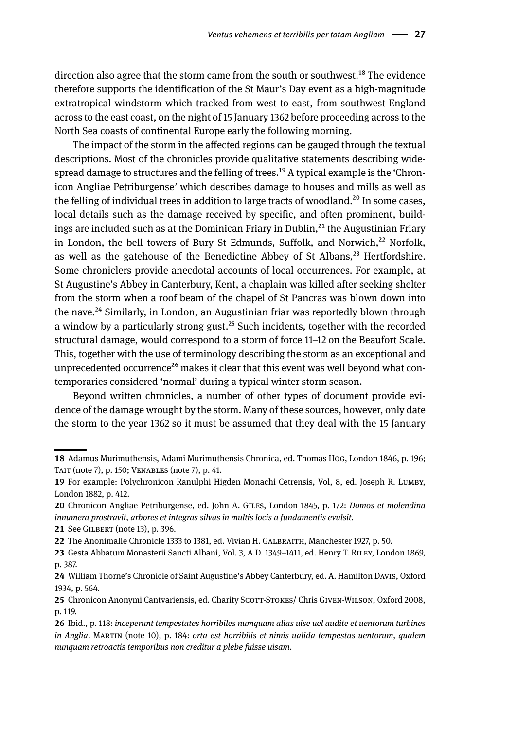direction also agree that the storm came from the south or southwest.<sup>18</sup> The evidence therefore supports the identification of the St Maur's Day event as a high-magnitude extratropical windstorm which tracked from west to east, from southwest England across to the east coast, on the night of 15 January 1362 before proceeding across to the North Sea coasts of continental Europe early the following morning.

The impact of the storm in the affected regions can be gauged through the textual descriptions. Most of the chronicles provide qualitative statements describing widespread damage to structures and the felling of trees.<sup>19</sup> A typical example is the 'Chronicon Angliae Petriburgense*'* which describes damage to houses and mills as well as the felling of individual trees in addition to large tracts of woodland.<sup>20</sup> In some cases, local details such as the damage received by specific, and often prominent, buildings are included such as at the Dominican Friary in Dublin, $^{21}$  the Augustinian Friary in London, the bell towers of Bury St Edmunds, Suffolk, and Norwich,<sup>22</sup> Norfolk, as well as the gatehouse of the Benedictine Abbey of St Albans,<sup>23</sup> Hertfordshire. Some chroniclers provide anecdotal accounts of local occurrences. For example, at St Augustine's Abbey in Canterbury, Kent, a chaplain was killed after seeking shelter from the storm when a roof beam of the chapel of St Pancras was blown down into the nave.<sup>24</sup> Similarly, in London, an Augustinian friar was reportedly blown through a window by a particularly strong gust.<sup>25</sup> Such incidents, together with the recorded structural damage, would correspond to a storm of force 11–12 on the Beaufort Scale. This, together with the use of terminology describing the storm as an exceptional and unprecedented occurrence<sup>26</sup> makes it clear that this event was well beyond what contemporaries considered 'normal' during a typical winter storm season.

Beyond written chronicles, a number of other types of document provide evidence of the damage wrought by the storm. Many of these sources, however, only date the storm to the year 1362 so it must be assumed that they deal with the 15 January

- **20** Chronicon Angliae Petriburgense, ed. John A. Giles, London 1845, p. 172: *Domos et molendina innumera prostravit, arbores et integras silvas in multis locis a fundamentis evulsit.*
- **21** See Gilbert (note 13), p. 396.

**22** The Anonimalle Chronicle 1333 to 1381, ed. Vivian H. Galbraith, Manchester 1927, p. 50.

**<sup>18</sup>** Adamus Murimuthensis, Adami Murimuthensis Chronica, ed. Thomas Hog, London 1846, p. 196; Tait (note 7), p. 150; Venables (note 7), p. 41.

**<sup>19</sup>** For example: Polychronicon Ranulphi Higden Monachi Cetrensis, Vol, 8, ed. Joseph R. Lumby, London 1882, p. 412.

**<sup>23</sup>** Gesta Abbatum Monasterii Sancti Albani, Vol. 3, A.D. 1349–1411, ed. Henry T. Riley, London 1869, p. 387.

**<sup>24</sup>** William Thorne's Chronicle of Saint Augustine's Abbey Canterbury, ed. A. Hamilton Davis, Oxford 1934, p. 564.

<sup>25</sup> Chronicon Anonymi Cantvariensis, ed. Charity Scorr-Srokes/ Chris Given-Wilson, Oxford 2008, p. 119.

**<sup>26</sup>** Ibid., p. 118: *inceperunt tempestates horribiles numquam alias uise uel audite et uentorum turbines in Anglia*. Martin (note 10), p. 184: *orta est horribilis et nimis ualida tempestas uentorum, qualem nunquam retroactis temporibus non creditur a plebe fuisse uisam*.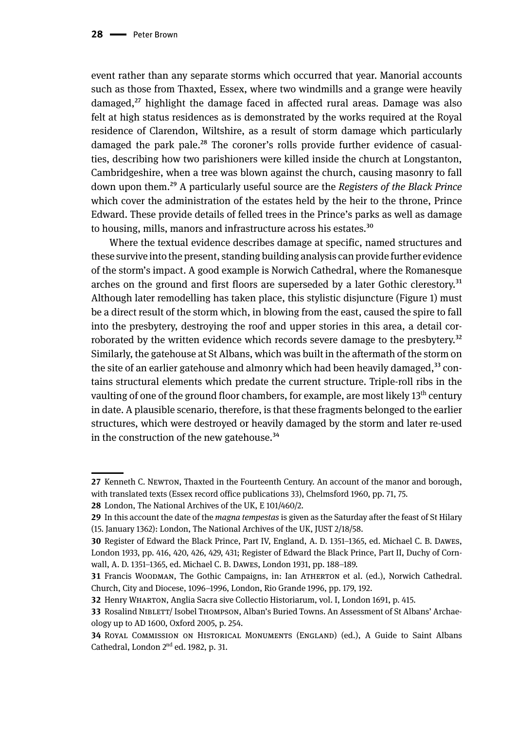event rather than any separate storms which occurred that year. Manorial accounts such as those from Thaxted, Essex, where two windmills and a grange were heavily damaged, $^{27}$  highlight the damage faced in affected rural areas. Damage was also felt at high status residences as is demonstrated by the works required at the Royal residence of Clarendon, Wiltshire, as a result of storm damage which particularly damaged the park pale.<sup>28</sup> The coroner's rolls provide further evidence of casualties, describing how two parishioners were killed inside the church at Longstanton, Cambridgeshire, when a tree was blown against the church, causing masonry to fall down upon them.29 A particularly useful source are the *Registers of the Black Prince* which cover the administration of the estates held by the heir to the throne, Prince Edward. These provide details of felled trees in the Prince's parks as well as damage to housing, mills, manors and infrastructure across his estates.<sup>30</sup>

Where the textual evidence describes damage at specific, named structures and these survive into the present, standing building analysis can provide further evidence of the storm's impact. A good example is Norwich Cathedral, where the Romanesque arches on the ground and first floors are superseded by a later Gothic clerestory.<sup>31</sup> Although later remodelling has taken place, this stylistic disjuncture (Figure 1) must be a direct result of the storm which, in blowing from the east, caused the spire to fall into the presbytery, destroying the roof and upper stories in this area, a detail corroborated by the written evidence which records severe damage to the presbytery.<sup>32</sup> Similarly, the gatehouse at St Albans, which was built in the aftermath of the storm on the site of an earlier gatehouse and almonry which had been heavily damaged,<sup>33</sup> contains structural elements which predate the current structure. Triple-roll ribs in the vaulting of one of the ground floor chambers, for example, are most likely 13<sup>th</sup> century in date. A plausible scenario, therefore, is that these fragments belonged to the earlier structures, which were destroyed or heavily damaged by the storm and later re-used in the construction of the new gatehouse. $34$ 

**<sup>27</sup>** Kenneth C. Newton, Thaxted in the Fourteenth Century. An account of the manor and borough, with translated texts (Essex record office publications 33), Chelmsford 1960, pp. 71, 75.

**<sup>28</sup>** London, The National Archives of the UK, E 101/460/2.

**<sup>29</sup>** In this account the date of the *magna tempestas* is given as the Saturday after the feast of St Hilary (15. January 1362): London, The National Archives of the UK, JUST 2/18/58.

**<sup>30</sup>** Register of Edward the Black Prince, Part IV, England, A. D. 1351–1365, ed. Michael C. B. Dawes, London 1933, pp. 416, 420, 426, 429, 431; Register of Edward the Black Prince, Part II, Duchy of Cornwall, A. D. 1351–1365, ed. Michael C. B. Dawes, London 1931, pp. 188–189.

**<sup>31</sup>** Francis Woodman, The Gothic Campaigns, in: Ian Atherton et al. (ed.), Norwich Cathedral. Church, City and Diocese, 1096–1996, London, Rio Grande 1996, pp. 179, 192.

**<sup>32</sup>** Henry Wharton, Anglia Sacra sive Collectio Historiarum, vol. I, London 1691, p. 415.

<sup>33</sup> Rosalind NIBLETT/ Isobel THOMPSON, Alban's Buried Towns. An Assessment of St Albans' Archaeology up to AD 1600, Oxford 2005, p. 254.

**<sup>34</sup>** Royal Commission on Historical Monuments (England) (ed.), A Guide to Saint Albans Cathedral, London 2nd ed. 1982, p. 31.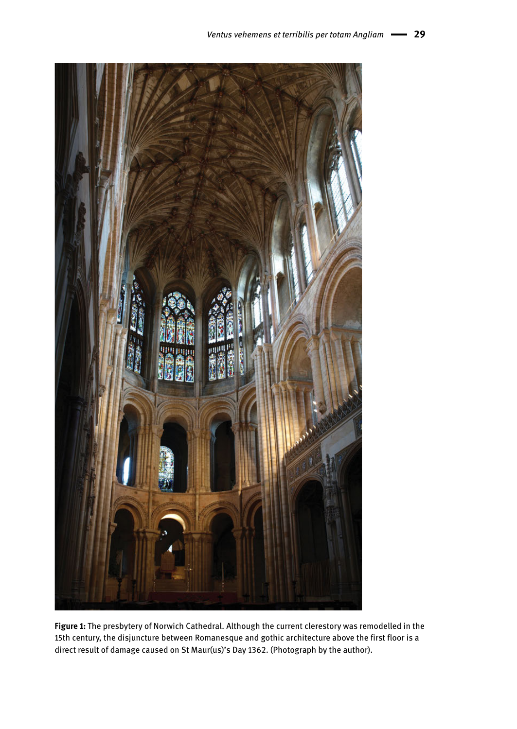

**Figure 1:** The presbytery of Norwich Cathedral. Although the current clerestory was remodelled in the 15th century, the disjuncture between Romanesque and gothic architecture above the first floor is a direct result of damage caused on St Maur(us)'s Day 1362. (Photograph by the author).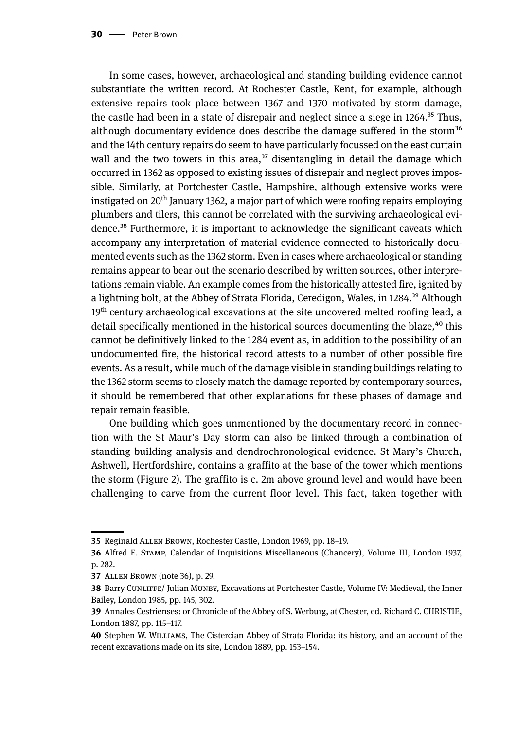In some cases, however, archaeological and standing building evidence cannot substantiate the written record. At Rochester Castle, Kent, for example, although extensive repairs took place between 1367 and 1370 motivated by storm damage, the castle had been in a state of disrepair and neglect since a siege in 1264.<sup>35</sup> Thus, although documentary evidence does describe the damage suffered in the storm<sup>36</sup> and the 14th century repairs do seem to have particularly focussed on the east curtain wall and the two towers in this area, $37$  disentangling in detail the damage which occurred in 1362 as opposed to existing issues of disrepair and neglect proves impossible. Similarly, at Portchester Castle, Hampshire, although extensive works were instigated on 20th January 1362, a major part of which were roofing repairs employing plumbers and tilers, this cannot be correlated with the surviving archaeological evidence.38 Furthermore, it is important to acknowledge the significant caveats which accompany any interpretation of material evidence connected to historically documented events such as the 1362 storm. Even in cases where archaeological or standing remains appear to bear out the scenario described by written sources, other interpretations remain viable. An example comes from the historically attested fire, ignited by a lightning bolt, at the Abbey of Strata Florida, Ceredigon, Wales, in 1284.<sup>39</sup> Although  $19<sup>th</sup>$  century archaeological excavations at the site uncovered melted roofing lead, a detail specifically mentioned in the historical sources documenting the blaze,<sup>40</sup> this cannot be definitively linked to the 1284 event as, in addition to the possibility of an undocumented fire, the historical record attests to a number of other possible fire events. As a result, while much of the damage visible in standing buildings relating to the 1362 storm seems to closely match the damage reported by contemporary sources, it should be remembered that other explanations for these phases of damage and repair remain feasible.

One building which goes unmentioned by the documentary record in connection with the St Maur's Day storm can also be linked through a combination of standing building analysis and dendrochronological evidence. St Mary's Church, Ashwell, Hertfordshire, contains a graffito at the base of the tower which mentions the storm (Figure 2). The graffito is c. 2m above ground level and would have been challenging to carve from the current floor level. This fact, taken together with

**<sup>35</sup>** Reginald Allen Brown, Rochester Castle, London 1969, pp. 18–19.

**<sup>36</sup>** Alfred E. Stamp, Calendar of Inquisitions Miscellaneous (Chancery), Volume III, London 1937, p. 282.

**<sup>37</sup>** Allen Brown (note 36), p. 29.

**<sup>38</sup>** Barry Cunliffe/ Julian Munby, Excavations at Portchester Castle, Volume IV: Medieval, the Inner Bailey, London 1985, pp. 145, 302.

**<sup>39</sup>** Annales Cestrienses: or Chronicle of the Abbey of S. Werburg, at Chester, ed. Richard C. CHRISTIE, London 1887, pp. 115–117.

**<sup>40</sup>** Stephen W. Williams, The Cistercian Abbey of Strata Florida: its history, and an account of the recent excavations made on its site, London 1889, pp. 153–154.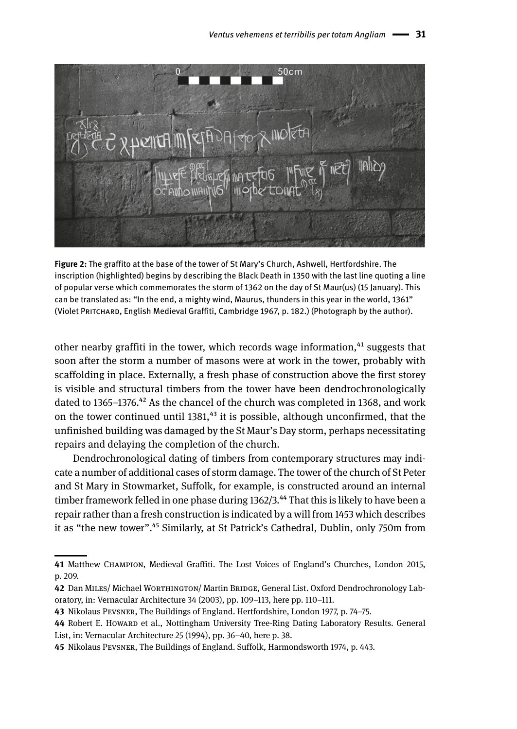

**Figure 2:** The graffito at the base of the tower of St Mary's Church, Ashwell, Hertfordshire. The inscription (highlighted) begins by describing the Black Death in 1350 with the last line quoting a line of popular verse which commemorates the storm of 1362 on the day of St Maur(us) (15 January). This can be translated as: "In the end, a mighty wind, Maurus, thunders in this year in the world, 1361" (Violet Pritchard, English Medieval Graffiti, Cambridge 1967, p. 182.) (Photograph by the author).

other nearby graffiti in the tower, which records wage information,  $41$  suggests that soon after the storm a number of masons were at work in the tower, probably with scaffolding in place. Externally, a fresh phase of construction above the first storey is visible and structural timbers from the tower have been dendrochronologically dated to 1365–1376.<sup>42</sup> As the chancel of the church was completed in 1368, and work on the tower continued until 1381, $43$  it is possible, although unconfirmed, that the unfinished building was damaged by the St Maur's Day storm, perhaps necessitating repairs and delaying the completion of the church.

Dendrochronological dating of timbers from contemporary structures may indicate a number of additional cases of storm damage. The tower of the church of St Peter and St Mary in Stowmarket, Suffolk, for example, is constructed around an internal timber framework felled in one phase during 1362/3.<sup>44</sup> That this is likely to have been a repair rather than a fresh construction is indicated by a will from 1453 which describes it as "the new tower".45 Similarly, at St Patrick's Cathedral, Dublin, only 750m from

**<sup>41</sup>** Matthew Champion, Medieval Graffiti. The Lost Voices of England's Churches, London 2015, p. 209.

**<sup>42</sup>** Dan Miles/ Michael Worthington/ Martin Bridge, General List. Oxford Dendrochronology Laboratory, in: Vernacular Architecture 34 (2003), pp. 109–113, here pp. 110–111.

**<sup>43</sup>** Nikolaus Pevsner, The Buildings of England. Hertfordshire, London 1977, p. 74–75.

<sup>44</sup> Robert E. Howard et al., Nottingham University Tree-Ring Dating Laboratory Results. General List, in: Vernacular Architecture 25 (1994), pp. 36–40, here p. 38.

**<sup>45</sup>** Nikolaus Pevsner, The Buildings of England. Suffolk, Harmondsworth 1974, p. 443.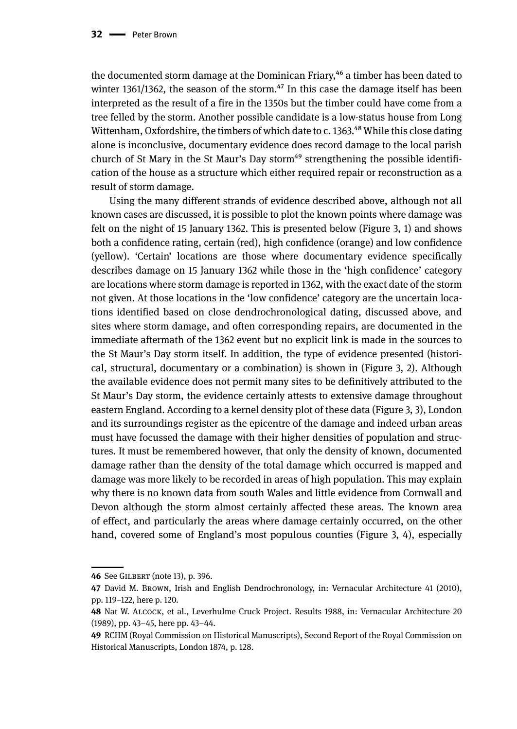the documented storm damage at the Dominican Friary,<sup>46</sup> a timber has been dated to winter 1361/1362, the season of the storm. $47$  In this case the damage itself has been interpreted as the result of a fire in the 1350s but the timber could have come from a tree felled by the storm. Another possible candidate is a low-status house from Long Wittenham, Oxfordshire, the timbers of which date to c. 1363.<sup>48</sup> While this close dating alone is inconclusive, documentary evidence does record damage to the local parish church of St Mary in the St Maur's Day storm $49$  strengthening the possible identification of the house as a structure which either required repair or reconstruction as a result of storm damage.

Using the many different strands of evidence described above, although not all known cases are discussed, it is possible to plot the known points where damage was felt on the night of 15 January 1362. This is presented below (Figure 3, 1) and shows both a confidence rating, certain (red), high confidence (orange) and low confidence (yellow). 'Certain' locations are those where documentary evidence specifically describes damage on 15 January 1362 while those in the 'high confidence' category are locations where storm damage is reported in 1362, with the exact date of the storm not given. At those locations in the 'low confidence' category are the uncertain locations identified based on close dendrochronological dating, discussed above, and sites where storm damage, and often corresponding repairs, are documented in the immediate aftermath of the 1362 event but no explicit link is made in the sources to the St Maur's Day storm itself. In addition, the type of evidence presented (historical, structural, documentary or a combination) is shown in (Figure 3, 2). Although the available evidence does not permit many sites to be definitively attributed to the St Maur's Day storm, the evidence certainly attests to extensive damage throughout eastern England. According to a kernel density plot of these data (Figure 3, 3), London and its surroundings register as the epicentre of the damage and indeed urban areas must have focussed the damage with their higher densities of population and structures. It must be remembered however, that only the density of known, documented damage rather than the density of the total damage which occurred is mapped and damage was more likely to be recorded in areas of high population. This may explain why there is no known data from south Wales and little evidence from Cornwall and Devon although the storm almost certainly affected these areas. The known area of effect, and particularly the areas where damage certainly occurred, on the other hand, covered some of England's most populous counties (Figure 3, 4), especially

**<sup>46</sup>** See Gilbert (note 13), p. 396.

**<sup>47</sup>** David M. Brown, Irish and English Dendrochronology, in: Vernacular Architecture 41 (2010), pp. 119–122, here p. 120.

**<sup>48</sup>** Nat W. Alcock, et al., Leverhulme Cruck Project. Results 1988, in: Vernacular Architecture 20 (1989), pp. 43–45, here pp. 43–44.

**<sup>49</sup>** RCHM (Royal Commission on Historical Manuscripts), Second Report of the Royal Commission on Historical Manuscripts, London 1874, p. 128.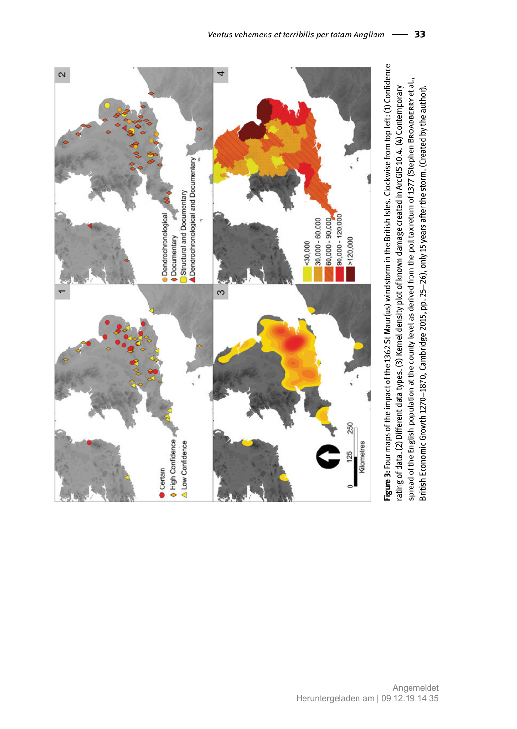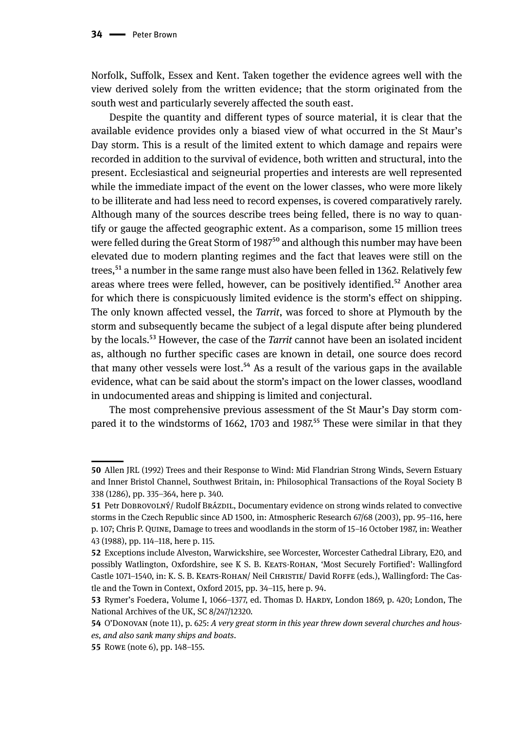Norfolk, Suffolk, Essex and Kent. Taken together the evidence agrees well with the view derived solely from the written evidence; that the storm originated from the south west and particularly severely affected the south east.

Despite the quantity and different types of source material, it is clear that the available evidence provides only a biased view of what occurred in the St Maur's Day storm. This is a result of the limited extent to which damage and repairs were recorded in addition to the survival of evidence, both written and structural, into the present. Ecclesiastical and seigneurial properties and interests are well represented while the immediate impact of the event on the lower classes, who were more likely to be illiterate and had less need to record expenses, is covered comparatively rarely. Although many of the sources describe trees being felled, there is no way to quantify or gauge the affected geographic extent. As a comparison, some 15 million trees were felled during the Great Storm of 1987<sup>50</sup> and although this number may have been elevated due to modern planting regimes and the fact that leaves were still on the trees,<sup>51</sup> a number in the same range must also have been felled in 1362. Relatively few areas where trees were felled, however, can be positively identified.<sup>52</sup> Another area for which there is conspicuously limited evidence is the storm's effect on shipping. The only known affected vessel, the *Tarrit*, was forced to shore at Plymouth by the storm and subsequently became the subject of a legal dispute after being plundered by the locals.53 However, the case of the *Tarrit* cannot have been an isolated incident as, although no further specific cases are known in detail, one source does record that many other vessels were lost.<sup>54</sup> As a result of the various gaps in the available evidence, what can be said about the storm's impact on the lower classes, woodland in undocumented areas and shipping is limited and conjectural.

The most comprehensive previous assessment of the St Maur's Day storm compared it to the windstorms of 1662, 1703 and 1987<sup>55</sup> These were similar in that they

**<sup>50</sup>** Allen JRL (1992) Trees and their Response to Wind: Mid Flandrian Strong Winds, Severn Estuary and Inner Bristol Channel, Southwest Britain, in: Philosophical Transactions of the Royal Society B 338 (1286), pp. 335–364, here p. 340.

**<sup>51</sup>** Petr DOBROVOLNÝ/ Rudolf BRÁZDIL, Documentary evidence on strong winds related to convective storms in the Czech Republic since AD 1500, in: Atmospheric Research 67/68 (2003), pp. 95–116, here p. 107; Chris P. Quine, Damage to trees and woodlands in the storm of 15–16 October 1987, in: Weather 43 (1988), pp. 114–118, here p. 115.

**<sup>52</sup>** Exceptions include Alveston, Warwickshire, see Worcester, Worcester Cathedral Library, E20, and possibly Watlington, Oxfordshire, see K S. B. Keats-Rohan, 'Most Securely Fortified': Wallingford Castle 1071–1540, in: K. S. B. Keats-Rohan/ Neil Christie/ David Roffe (eds.), Wallingford: The Castle and the Town in Context, Oxford 2015, pp. 34–115, here p. 94.

**<sup>53</sup>** Rymer's Foedera, Volume I, 1066–1377, ed. Thomas D. HARDY, London 1869, p. 420; London, The National Archives of the UK, SC 8/247/12320.

**<sup>54</sup>** O'Donovan (note 11), p. 625: *A very great storm in this year threw down several churches and houses, and also sank many ships and boats*.

**<sup>55</sup>** Rowe (note 6), pp. 148–155.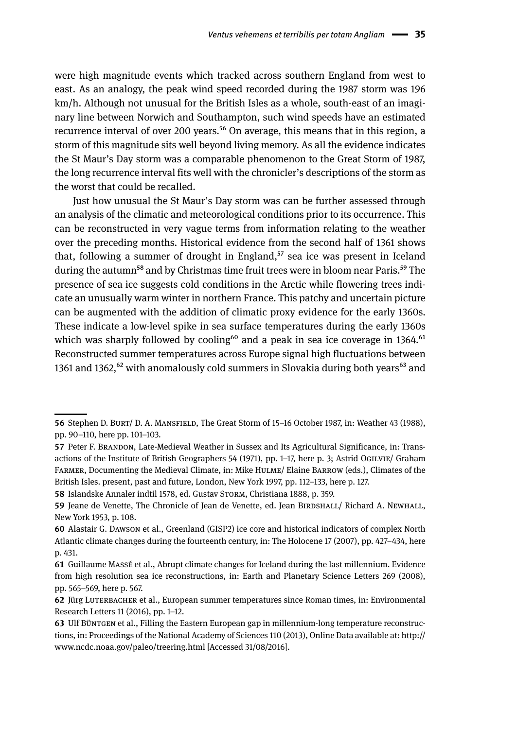were high magnitude events which tracked across southern England from west to east. As an analogy, the peak wind speed recorded during the 1987 storm was 196 km/h. Although not unusual for the British Isles as a whole, south-east of an imaginary line between Norwich and Southampton, such wind speeds have an estimated recurrence interval of over 200 years.<sup>56</sup> On average, this means that in this region, a storm of this magnitude sits well beyond living memory. As all the evidence indicates the St Maur's Day storm was a comparable phenomenon to the Great Storm of 1987, the long recurrence interval fits well with the chronicler's descriptions of the storm as the worst that could be recalled.

Just how unusual the St Maur's Day storm was can be further assessed through an analysis of the climatic and meteorological conditions prior to its occurrence. This can be reconstructed in very vague terms from information relating to the weather over the preceding months. Historical evidence from the second half of 1361 shows that, following a summer of drought in England,<sup>57</sup> sea ice was present in Iceland during the autumn<sup>58</sup> and by Christmas time fruit trees were in bloom near Paris.<sup>59</sup> The presence of sea ice suggests cold conditions in the Arctic while flowering trees indicate an unusually warm winter in northern France. This patchy and uncertain picture can be augmented with the addition of climatic proxy evidence for the early 1360s. These indicate a low-level spike in sea surface temperatures during the early 1360s which was sharply followed by cooling<sup>60</sup> and a peak in sea ice coverage in 1364.<sup>61</sup> Reconstructed summer temperatures across Europe signal high fluctuations between 1361 and 1362,<sup>62</sup> with anomalously cold summers in Slovakia during both years<sup>63</sup> and

58 Islandske Annaler indtil 1578, ed. Gustav STORM, Christiana 1888, p. 359.

**<sup>56</sup>** Stephen D. Burt/ D. A. Mansfield, The Great Storm of 15–16 October 1987, in: Weather 43 (1988), pp. 90–110, here pp. 101–103.

**<sup>57</sup>** Peter F. Brandon, Late-Medieval Weather in Sussex and Its Agricultural Significance, in: Transactions of the Institute of British Geographers 54 (1971), pp. 1–17, here p. 3; Astrid Ogilvie/ Graham FARMER, Documenting the Medieval Climate, in: Mike HULME/ Elaine BARROW (eds.), Climates of the British Isles. present, past and future, London, New York 1997, pp. 112–133, here p. 127.

**<sup>59</sup>** Jeane de Venette, The Chronicle of Jean de Venette, ed. Jean BIRDSHALL/ Richard A. NEWHALL, New York 1953, p. 108.

**<sup>60</sup>** Alastair G. Dawson et al., Greenland (GISP2) ice core and historical indicators of complex North Atlantic climate changes during the fourteenth century, in: The Holocene 17 (2007), pp. 427–434, here p. 431.

**<sup>61</sup>** Guillaume Massé et al., Abrupt climate changes for Iceland during the last millennium. Evidence from high resolution sea ice reconstructions, in: Earth and Planetary Science Letters 269 (2008), pp. 565–569, here p. 567.

**<sup>62</sup>** Jürg Luterbacher et al., European summer temperatures since Roman times, in: Environmental Research Letters 11 (2016), pp. 1–12.

**<sup>63</sup>** Ulf Büntgen et al., Filling the Eastern European gap in millennium-long temperature reconstructions, in: Proceedings of the National Academy of Sciences 110 (2013), Online Data available at: [http://](http://www.ncdc.noaa.gov/paleo/treering.html) [www.ncdc.noaa.gov/paleo/treering.html](http://www.ncdc.noaa.gov/paleo/treering.html) [Accessed 31/08/2016].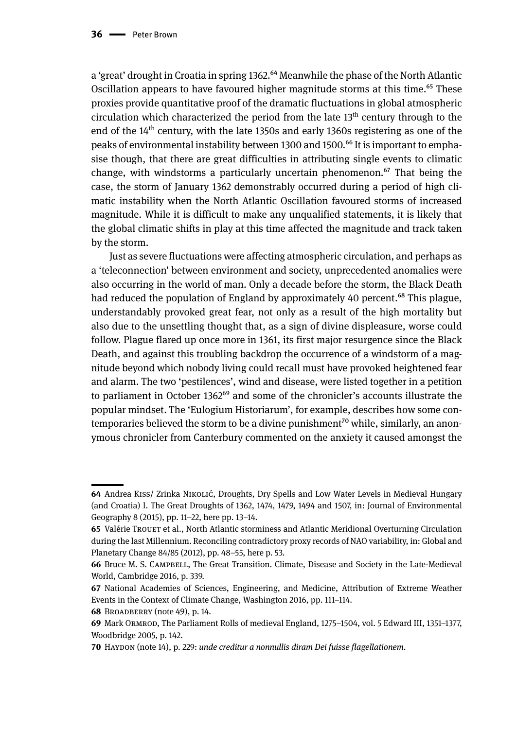a 'great' drought in Croatia in spring 1362.<sup>64</sup> Meanwhile the phase of the North Atlantic Oscillation appears to have favoured higher magnitude storms at this time.<sup>65</sup> These proxies provide quantitative proof of the dramatic fluctuations in global atmospheric circulation which characterized the period from the late  $13<sup>th</sup>$  century through to the end of the 14<sup>th</sup> century, with the late 1350s and early 1360s registering as one of the peaks of environmental instability between 1300 and 1500.<sup>66</sup> It is important to emphasise though, that there are great difficulties in attributing single events to climatic change, with windstorms a particularly uncertain phenomenon.<sup>67</sup> That being the case, the storm of January 1362 demonstrably occurred during a period of high climatic instability when the North Atlantic Oscillation favoured storms of increased magnitude. While it is difficult to make any unqualified statements, it is likely that the global climatic shifts in play at this time affected the magnitude and track taken by the storm.

Just as severe fluctuations were affecting atmospheric circulation, and perhaps as a 'teleconnection' between environment and society, unprecedented anomalies were also occurring in the world of man. Only a decade before the storm, the Black Death had reduced the population of England by approximately 40 percent.<sup>68</sup> This plague, understandably provoked great fear, not only as a result of the high mortality but also due to the unsettling thought that, as a sign of divine displeasure, worse could follow. Plague flared up once more in 1361, its first major resurgence since the Black Death, and against this troubling backdrop the occurrence of a windstorm of a magnitude beyond which nobody living could recall must have provoked heightened fear and alarm. The two 'pestilences', wind and disease, were listed together in a petition to parliament in October  $1362^{69}$  and some of the chronicler's accounts illustrate the popular mindset. The 'Eulogium Historiarum', for example, describes how some contemporaries believed the storm to be a divine punishment<sup>70</sup> while, similarly, an anonymous chronicler from Canterbury commented on the anxiety it caused amongst the

**<sup>64</sup>** Andrea Kiss/ Zrinka Nikolić, Droughts, Dry Spells and Low Water Levels in Medieval Hungary (and Croatia) I. The Great Droughts of 1362, 1474, 1479, 1494 and 1507, in: Journal of Environmental Geography 8 (2015), pp. 11–22, here pp. 13–14.

**<sup>65</sup>** Valérie Trouet et al., North Atlantic storminess and Atlantic Meridional Overturning Circulation during the last Millennium. Reconciling contradictory proxy records of NAO variability, in: Global and Planetary Change 84/85 (2012), pp. 48–55, here p. 53.

**<sup>66</sup>** Bruce M. S. Campbell, The Great Transition. Climate, Disease and Society in the Late-Medieval World, Cambridge 2016, p. 339.

**<sup>67</sup>** National Academies of Sciences, Engineering, and Medicine, Attribution of Extreme Weather Events in the Context of Climate Change, Washington 2016, pp. 111–114.

**<sup>68</sup>** Broadberry (note 49), p. 14.

**<sup>69</sup>** Mark Ormrod, The Parliament Rolls of medieval England, 1275–1504, vol. 5 Edward III, 1351–1377, Woodbridge 2005, p. 142.

**<sup>70</sup>** Haydon (note 14), p. 229: *unde creditur a nonnullis diram Dei fuisse flagellationem*.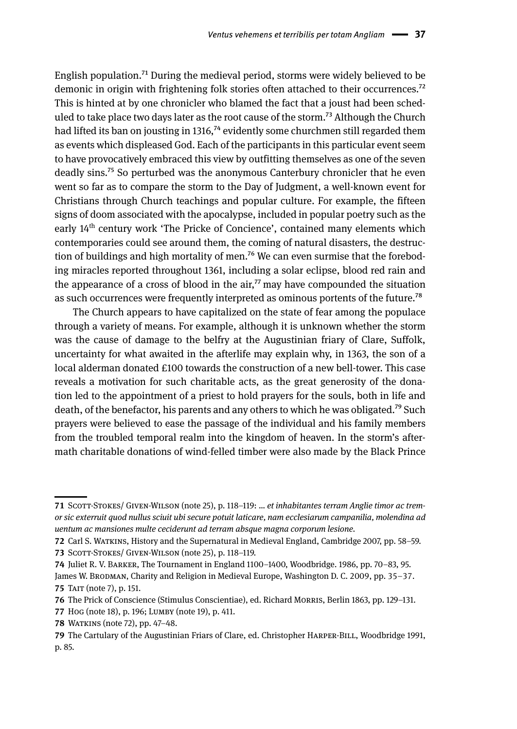English population.71 During the medieval period, storms were widely believed to be demonic in origin with frightening folk stories often attached to their occurrences.<sup>72</sup> This is hinted at by one chronicler who blamed the fact that a joust had been scheduled to take place two days later as the root cause of the storm.<sup>73</sup> Although the Church had lifted its ban on jousting in 1316,<sup>74</sup> evidently some churchmen still regarded them as events which displeased God. Each of the participants in this particular event seem to have provocatively embraced this view by outfitting themselves as one of the seven deadly sins.<sup>75</sup> So perturbed was the anonymous Canterbury chronicler that he even went so far as to compare the storm to the Day of Judgment, a well-known event for Christians through Church teachings and popular culture. For example, the fifteen signs of doom associated with the apocalypse, included in popular poetry such as the early 14<sup>th</sup> century work 'The Pricke of Concience', contained many elements which contemporaries could see around them, the coming of natural disasters, the destruction of buildings and high mortality of men.<sup>76</sup> We can even surmise that the foreboding miracles reported throughout 1361, including a solar eclipse, blood red rain and the appearance of a cross of blood in the  $air<sub>1</sub><sup>77</sup>$  may have compounded the situation as such occurrences were frequently interpreted as ominous portents of the future.<sup>78</sup>

The Church appears to have capitalized on the state of fear among the populace through a variety of means. For example, although it is unknown whether the storm was the cause of damage to the belfry at the Augustinian friary of Clare, Suffolk, uncertainty for what awaited in the afterlife may explain why, in 1363, the son of a local alderman donated £100 towards the construction of a new bell-tower. This case reveals a motivation for such charitable acts, as the great generosity of the donation led to the appointment of a priest to hold prayers for the souls, both in life and death, of the benefactor, his parents and any others to which he was obligated.<sup>79</sup> Such prayers were believed to ease the passage of the individual and his family members from the troubled temporal realm into the kingdom of heaven. In the storm's aftermath charitable donations of wind-felled timber were also made by the Black Prince

**<sup>71</sup>** Scott-Stokes/ Given-Wilson (note 25), p. 118–119: … *et inhabitantes terram Anglie timor ac tremor sic exterruit quod nullus sciuit ubi secure potuit laticare, nam ecclesiarum campanilia, molendina ad uentum ac mansiones multe ceciderunt ad terram absque magna corporum lesione.*

**<sup>72</sup>** Carl S. Watkins, History and the Supernatural in Medieval England, Cambridge 2007, pp. 58–59. **73** Scott-Stokes/ Given-Wilson (note 25), p. 118–119.

**<sup>74</sup>** Juliet R. V. Barker, The Tournament in England 1100–1400, Woodbridge. 1986, pp. 70–83, 95. James W. Brodman, Charity and Religion in Medieval Europe, Washington D. C. 2009, pp. 35-37. **75** Tait (note 7), p. 151.

**<sup>76</sup>** The Prick of Conscience (Stimulus Conscientiae), ed. Richard Morris, Berlin 1863, pp. 129–131.

**<sup>77</sup>** Hog (note 18), p. 196; Lumby (note 19), p. 411.

**<sup>78</sup>** Watkins (note 72), pp. 47–48.

**<sup>79</sup>** The Cartulary of the Augustinian Friars of Clare, ed. Christopher HARPER-BILL, Woodbridge 1991, p. 85.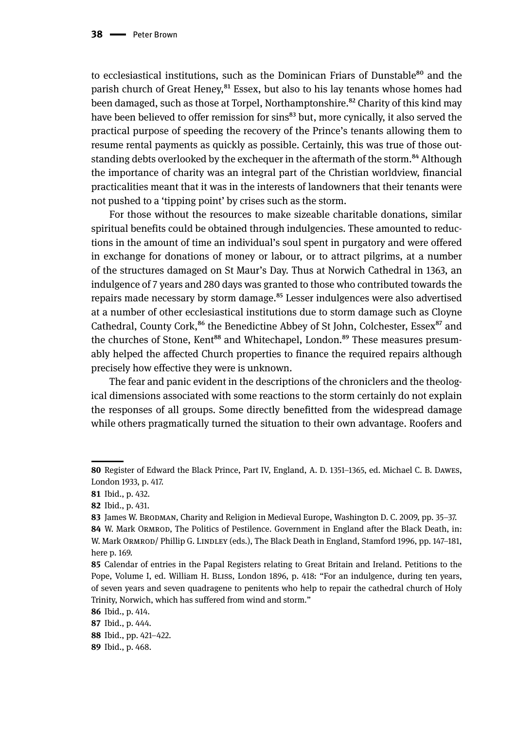to ecclesiastical institutions, such as the Dominican Friars of Dunstable<sup>80</sup> and the parish church of Great Heney,<sup>81</sup> Essex, but also to his lay tenants whose homes had been damaged, such as those at Torpel, Northamptonshire.<sup>82</sup> Charity of this kind may have been believed to offer remission for sins<sup>83</sup> but, more cynically, it also served the practical purpose of speeding the recovery of the Prince's tenants allowing them to resume rental payments as quickly as possible. Certainly, this was true of those outstanding debts overlooked by the exchequer in the aftermath of the storm.<sup>84</sup> Although the importance of charity was an integral part of the Christian worldview, financial practicalities meant that it was in the interests of landowners that their tenants were not pushed to a 'tipping point' by crises such as the storm.

For those without the resources to make sizeable charitable donations, similar spiritual benefits could be obtained through indulgencies. These amounted to reductions in the amount of time an individual's soul spent in purgatory and were offered in exchange for donations of money or labour, or to attract pilgrims, at a number of the structures damaged on St Maur's Day. Thus at Norwich Cathedral in 1363, an indulgence of 7 years and 280 days was granted to those who contributed towards the repairs made necessary by storm damage.<sup>85</sup> Lesser indulgences were also advertised at a number of other ecclesiastical institutions due to storm damage such as Cloyne Cathedral, County Cork,<sup>86</sup> the Benedictine Abbey of St John, Colchester, Essex<sup>87</sup> and the churches of Stone, Kent<sup>88</sup> and Whitechapel, London.<sup>89</sup> These measures presumably helped the affected Church properties to finance the required repairs although precisely how effective they were is unknown.

The fear and panic evident in the descriptions of the chroniclers and the theological dimensions associated with some reactions to the storm certainly do not explain the responses of all groups. Some directly benefitted from the widespread damage while others pragmatically turned the situation to their own advantage. Roofers and

**<sup>80</sup>** Register of Edward the Black Prince, Part IV, England, A. D. 1351–1365, ed. Michael C. B. Dawes, London 1933, p. 417.

**<sup>81</sup>** Ibid., p. 432.

**<sup>82</sup>** Ibid., p. 431.

**<sup>83</sup>** James W. Brodman, Charity and Religion in Medieval Europe, Washington D. C. 2009, pp. 35–37.

**<sup>84</sup>** W. Mark ORMROD, The Politics of Pestilence. Government in England after the Black Death, in: W. Mark ORMROD/ Phillip G. LINDLEY (eds.), The Black Death in England, Stamford 1996, pp. 147–181, here p. 169.

**<sup>85</sup>** Calendar of entries in the Papal Registers relating to Great Britain and Ireland. Petitions to the Pope, Volume I, ed. William H. Bliss, London 1896, p. 418: "For an indulgence, during ten years, of seven years and seven quadragene to penitents who help to repair the cathedral church of Holy Trinity, Norwich, which has suffered from wind and storm."

**<sup>86</sup>** Ibid., p. 414.

**<sup>87</sup>** Ibid., p. 444.

**<sup>88</sup>** Ibid., pp. 421–422.

**<sup>89</sup>** Ibid., p. 468.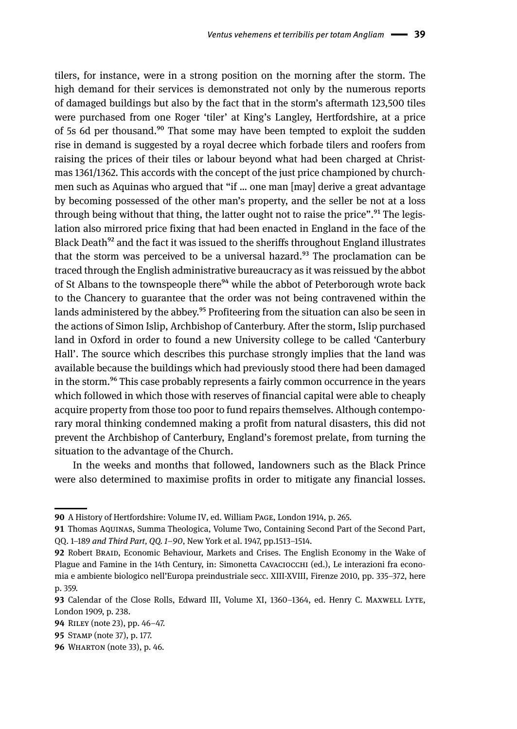tilers, for instance, were in a strong position on the morning after the storm. The high demand for their services is demonstrated not only by the numerous reports of damaged buildings but also by the fact that in the storm's aftermath 123,500 tiles were purchased from one Roger 'tiler' at King's Langley, Hertfordshire, at a price of 5s 6d per thousand.<sup>90</sup> That some may have been tempted to exploit the sudden rise in demand is suggested by a royal decree which forbade tilers and roofers from raising the prices of their tiles or labour beyond what had been charged at Christmas 1361/1362. This accords with the concept of the just price championed by churchmen such as Aquinas who argued that "if … one man [may] derive a great advantage by becoming possessed of the other man's property, and the seller be not at a loss through being without that thing, the latter ought not to raise the price".<sup>91</sup> The legislation also mirrored price fixing that had been enacted in England in the face of the Black Death<sup>92</sup> and the fact it was issued to the sheriffs throughout England illustrates that the storm was perceived to be a universal hazard.<sup>93</sup> The proclamation can be traced through the English administrative bureaucracy as it was reissued by the abbot of St Albans to the townspeople there<sup>94</sup> while the abbot of Peterborough wrote back to the Chancery to guarantee that the order was not being contravened within the lands administered by the abbey.<sup>95</sup> Profiteering from the situation can also be seen in the actions of Simon Islip, Archbishop of Canterbury. After the storm, Islip purchased land in Oxford in order to found a new University college to be called 'Canterbury Hall'. The source which describes this purchase strongly implies that the land was available because the buildings which had previously stood there had been damaged in the storm.<sup>96</sup> This case probably represents a fairly common occurrence in the years which followed in which those with reserves of financial capital were able to cheaply acquire property from those too poor to fund repairs themselves. Although contemporary moral thinking condemned making a profit from natural disasters, this did not prevent the Archbishop of Canterbury, England's foremost prelate, from turning the situation to the advantage of the Church.

In the weeks and months that followed, landowners such as the Black Prince were also determined to maximise profits in order to mitigate any financial losses.

**<sup>90</sup>** A History of Hertfordshire: Volume IV*,* ed. William Page, London 1914, p. 265.

**<sup>91</sup>** Thomas Aquinas, Summa Theologica, Volume Two, Containing Second Part of the Second Part, QQ. 1–189 *and Third Part, QQ. 1–90*, New York et al. 1947, pp.1513–1514.

**<sup>92</sup>** Robert Braid, Economic Behaviour, Markets and Crises. The English Economy in the Wake of Plague and Famine in the 14th Century, in: Simonetta CAVACIOCCHI (ed.), Le interazioni fra economia e ambiente biologico nell'Europa preindustriale secc. XIII-XVIII, Firenze 2010, pp. 335–372, here p. 359.

**<sup>93</sup>** Calendar of the Close Rolls, Edward III, Volume XI, 1360–1364, ed. Henry C. MAXWELL LYTE, London 1909, p. 238.

**<sup>94</sup>** Riley (note 23), pp. 46–47.

**<sup>95</sup>** Stamp (note 37), p. 177.

**<sup>96</sup>** Wharton (note 33), p. 46.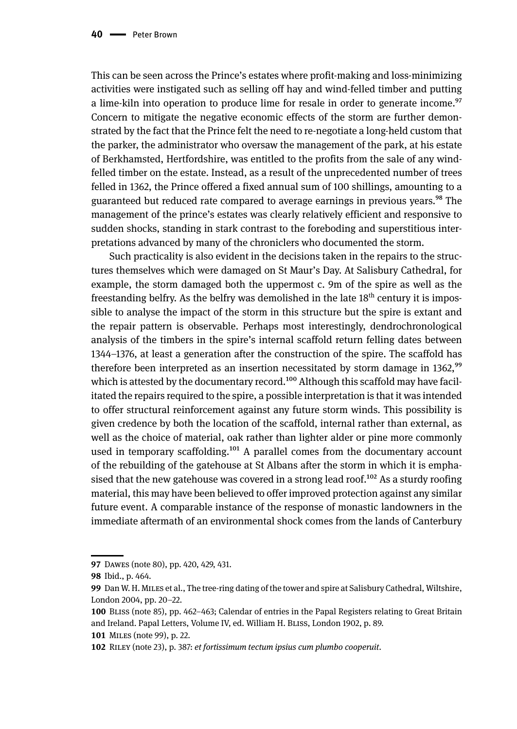This can be seen across the Prince's estates where profit-making and loss-minimizing activities were instigated such as selling off hay and wind-felled timber and putting a lime-kiln into operation to produce lime for resale in order to generate income.<sup>97</sup> Concern to mitigate the negative economic effects of the storm are further demonstrated by the fact that the Prince felt the need to re-negotiate a long-held custom that the parker, the administrator who oversaw the management of the park, at his estate of Berkhamsted, Hertfordshire, was entitled to the profits from the sale of any windfelled timber on the estate. Instead, as a result of the unprecedented number of trees felled in 1362, the Prince offered a fixed annual sum of 100 shillings, amounting to a guaranteed but reduced rate compared to average earnings in previous years.<sup>98</sup> The management of the prince's estates was clearly relatively efficient and responsive to sudden shocks, standing in stark contrast to the foreboding and superstitious interpretations advanced by many of the chroniclers who documented the storm.

Such practicality is also evident in the decisions taken in the repairs to the structures themselves which were damaged on St Maur's Day. At Salisbury Cathedral, for example, the storm damaged both the uppermost c. 9m of the spire as well as the freestanding belfry. As the belfry was demolished in the late  $18<sup>th</sup>$  century it is impossible to analyse the impact of the storm in this structure but the spire is extant and the repair pattern is observable. Perhaps most interestingly, dendrochronological analysis of the timbers in the spire's internal scaffold return felling dates between 1344–1376, at least a generation after the construction of the spire. The scaffold has therefore been interpreted as an insertion necessitated by storm damage in  $1362$ ,  $99$ which is attested by the documentary record.<sup>100</sup> Although this scaffold may have facilitated the repairs required to the spire, a possible interpretation is that it was intended to offer structural reinforcement against any future storm winds. This possibility is given credence by both the location of the scaffold, internal rather than external, as well as the choice of material, oak rather than lighter alder or pine more commonly used in temporary scaffolding.<sup>101</sup> A parallel comes from the documentary account of the rebuilding of the gatehouse at St Albans after the storm in which it is emphasised that the new gatehouse was covered in a strong lead roof.<sup>102</sup> As a sturdy roofing material, this may have been believed to offer improved protection against any similar future event. A comparable instance of the response of monastic landowners in the immediate aftermath of an environmental shock comes from the lands of Canterbury

**<sup>97</sup>** Dawes (note 80), pp. 420, 429, 431.

**<sup>98</sup>** Ibid., p. 464.

**<sup>99</sup>** Dan W. H. Miles et al., The tree-ring dating of the tower and spire at Salisbury Cathedral, Wiltshire, London 2004, pp. 20–22.

**<sup>100</sup>** Bliss (note 85), pp. 462–463; Calendar of entries in the Papal Registers relating to Great Britain and Ireland. Papal Letters, Volume IV, ed. William H. Bliss, London 1902, p. 89.

**<sup>101</sup>** Miles (note 99), p. 22.

**<sup>102</sup>** Riley (note 23), p. 387: *et fortissimum tectum ipsius cum plumbo cooperuit*.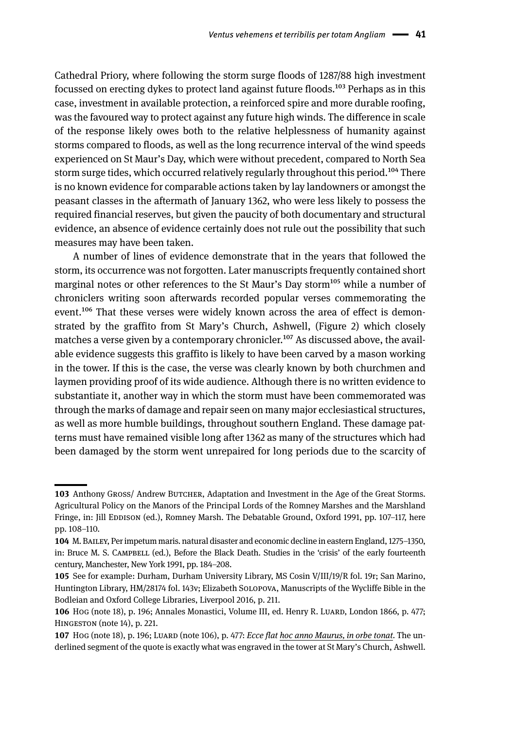Cathedral Priory, where following the storm surge floods of 1287/88 high investment focussed on erecting dykes to protect land against future floods.<sup>103</sup> Perhaps as in this case, investment in available protection, a reinforced spire and more durable roofing, was the favoured way to protect against any future high winds. The difference in scale of the response likely owes both to the relative helplessness of humanity against storms compared to floods, as well as the long recurrence interval of the wind speeds experienced on St Maur's Day, which were without precedent, compared to North Sea storm surge tides, which occurred relatively regularly throughout this period.<sup>104</sup> There is no known evidence for comparable actions taken by lay landowners or amongst the peasant classes in the aftermath of January 1362, who were less likely to possess the required financial reserves, but given the paucity of both documentary and structural evidence, an absence of evidence certainly does not rule out the possibility that such measures may have been taken.

A number of lines of evidence demonstrate that in the years that followed the storm, its occurrence was not forgotten. Later manuscripts frequently contained short marginal notes or other references to the St Maur's Day storm<sup>105</sup> while a number of chroniclers writing soon afterwards recorded popular verses commemorating the event.<sup>106</sup> That these verses were widely known across the area of effect is demonstrated by the graffito from St Mary's Church, Ashwell, (Figure 2) which closely matches a verse given by a contemporary chronicler.<sup>107</sup> As discussed above, the available evidence suggests this graffito is likely to have been carved by a mason working in the tower. If this is the case, the verse was clearly known by both churchmen and laymen providing proof of its wide audience. Although there is no written evidence to substantiate it, another way in which the storm must have been commemorated was through the marks of damage and repair seen on many major ecclesiastical structures, as well as more humble buildings, throughout southern England. These damage patterns must have remained visible long after 1362 as many of the structures which had been damaged by the storm went unrepaired for long periods due to the scarcity of

<sup>103</sup> Anthony Gross/ Andrew Burcher, Adaptation and Investment in the Age of the Great Storms. Agricultural Policy on the Manors of the Principal Lords of the Romney Marshes and the Marshland Fringe, in: Jill EDDISON (ed.), Romney Marsh. The Debatable Ground, Oxford 1991, pp. 107-117, here pp. 108–110.

**<sup>104</sup>** M. Bailey, Per impetum maris. natural disaster and economic decline in eastern England, 1275–1350, in: Bruce M. S. Campbell (ed.), Before the Black Death. Studies in the 'crisis' of the early fourteenth century, Manchester, New York 1991, pp. 184–208.

**<sup>105</sup>** See for example: Durham, Durham University Library, MS Cosin V/III/19/R fol. 19r; San Marino, Huntington Library, HM/28174 fol. 143v; Elizabeth Solopova, Manuscripts of the Wycliffe Bible in the Bodleian and Oxford College Libraries, Liverpool 2016, p. 211.

<sup>106</sup> Hog (note 18), p. 196; Annales Monastici, Volume III, ed. Henry R. Luard, London 1866, p. 477; Hingeston (note 14), p. 221.

**<sup>107</sup>** Hog (note 18), p. 196; Luard (note 106), p. 477: *Ecce flat hoc anno Maurus, in orbe tonat.* The underlined segment of the quote is exactly what was engraved in the tower at St Mary's Church, Ashwell.